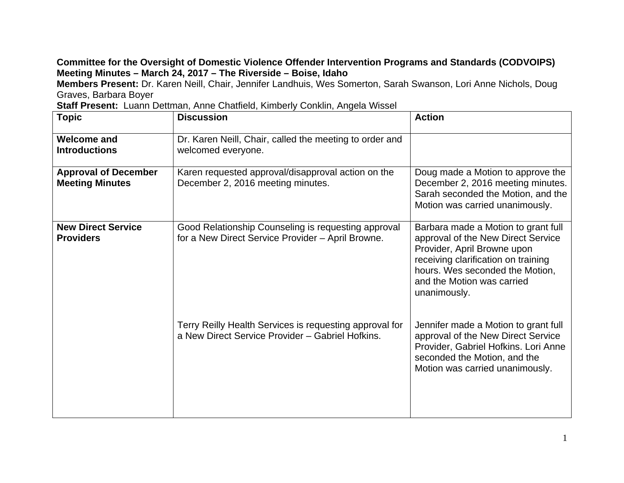## **Committee for the Oversight of Domestic Violence Offender Intervention Programs and Standards (CODVOIPS) Meeting Minutes – March 24, 2017 – The Riverside – Boise, Idaho**

**Members Present:** Dr. Karen Neill, Chair, Jennifer Landhuis, Wes Somerton, Sarah Swanson, Lori Anne Nichols, Doug Graves, Barbara Boyer

|  | Staff Present: Luann Dettman, Anne Chatfield, Kimberly Conklin, Angela Wissel |  |
|--|-------------------------------------------------------------------------------|--|
|  |                                                                               |  |

| <b>Topic</b>                                          | <b>Discussion</b>                                                                                           | <b>Action</b>                                                                                                                                                                                                                    |
|-------------------------------------------------------|-------------------------------------------------------------------------------------------------------------|----------------------------------------------------------------------------------------------------------------------------------------------------------------------------------------------------------------------------------|
| <b>Welcome and</b><br><b>Introductions</b>            | Dr. Karen Neill, Chair, called the meeting to order and<br>welcomed everyone.                               |                                                                                                                                                                                                                                  |
| <b>Approval of December</b><br><b>Meeting Minutes</b> | Karen requested approval/disapproval action on the<br>December 2, 2016 meeting minutes.                     | Doug made a Motion to approve the<br>December 2, 2016 meeting minutes.<br>Sarah seconded the Motion, and the<br>Motion was carried unanimously.                                                                                  |
| <b>New Direct Service</b><br><b>Providers</b>         | Good Relationship Counseling is requesting approval<br>for a New Direct Service Provider - April Browne.    | Barbara made a Motion to grant full<br>approval of the New Direct Service<br>Provider, April Browne upon<br>receiving clarification on training<br>hours. Wes seconded the Motion,<br>and the Motion was carried<br>unanimously. |
|                                                       | Terry Reilly Health Services is requesting approval for<br>a New Direct Service Provider - Gabriel Hofkins. | Jennifer made a Motion to grant full<br>approval of the New Direct Service<br>Provider, Gabriel Hofkins. Lori Anne<br>seconded the Motion, and the<br>Motion was carried unanimously.                                            |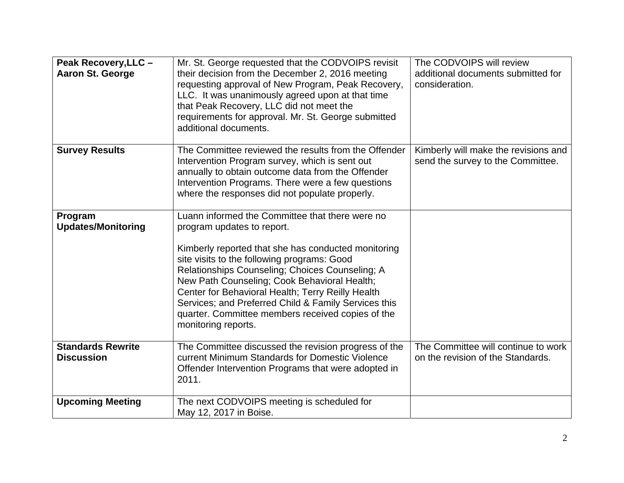| Peak Recovery, LLC -<br><b>Aaron St. George</b> | Mr. St. George requested that the CODVOIPS revisit<br>their decision from the December 2, 2016 meeting<br>requesting approval of New Program, Peak Recovery,<br>LLC. It was unanimously agreed upon at that time<br>that Peak Recovery, LLC did not meet the<br>requirements for approval. Mr. St. George submitted<br>additional documents.                                                                                                                                    | The CODVOIPS will review<br>additional documents submitted for<br>consideration. |
|-------------------------------------------------|---------------------------------------------------------------------------------------------------------------------------------------------------------------------------------------------------------------------------------------------------------------------------------------------------------------------------------------------------------------------------------------------------------------------------------------------------------------------------------|----------------------------------------------------------------------------------|
| <b>Survey Results</b>                           | The Committee reviewed the results from the Offender<br>Intervention Program survey, which is sent out<br>annually to obtain outcome data from the Offender<br>Intervention Programs. There were a few questions<br>where the responses did not populate properly.                                                                                                                                                                                                              | Kimberly will make the revisions and<br>send the survey to the Committee.        |
| Program<br><b>Updates/Monitoring</b>            | Luann informed the Committee that there were no<br>program updates to report.<br>Kimberly reported that she has conducted monitoring<br>site visits to the following programs: Good<br>Relationships Counseling; Choices Counseling; A<br>New Path Counseling; Cook Behavioral Health;<br>Center for Behavioral Health; Terry Reilly Health<br>Services; and Preferred Child & Family Services this<br>quarter. Committee members received copies of the<br>monitoring reports. |                                                                                  |
| <b>Standards Rewrite</b><br><b>Discussion</b>   | The Committee discussed the revision progress of the<br>current Minimum Standards for Domestic Violence<br>Offender Intervention Programs that were adopted in<br>2011.                                                                                                                                                                                                                                                                                                         | The Committee will continue to work<br>on the revision of the Standards.         |
| <b>Upcoming Meeting</b>                         | The next CODVOIPS meeting is scheduled for<br>May 12, 2017 in Boise.                                                                                                                                                                                                                                                                                                                                                                                                            |                                                                                  |